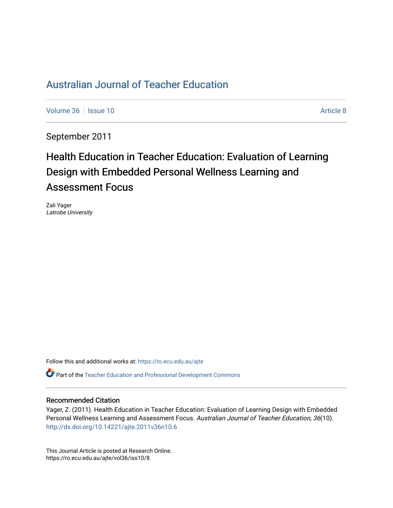# [Australian Journal of Teacher Education](https://ro.ecu.edu.au/ajte)

[Volume 36](https://ro.ecu.edu.au/ajte/vol36) | [Issue 10](https://ro.ecu.edu.au/ajte/vol36/iss10) Article 8

September 2011

# Health Education in Teacher Education: Evaluation of Learning Design with Embedded Personal Wellness Learning and Assessment Focus

Zali Yager Latrobe University

Follow this and additional works at: [https://ro.ecu.edu.au/ajte](https://ro.ecu.edu.au/ajte?utm_source=ro.ecu.edu.au%2Fajte%2Fvol36%2Fiss10%2F8&utm_medium=PDF&utm_campaign=PDFCoverPages) 

Part of the [Teacher Education and Professional Development Commons](http://network.bepress.com/hgg/discipline/803?utm_source=ro.ecu.edu.au%2Fajte%2Fvol36%2Fiss10%2F8&utm_medium=PDF&utm_campaign=PDFCoverPages)

#### Recommended Citation

Yager, Z. (2011). Health Education in Teacher Education: Evaluation of Learning Design with Embedded Personal Wellness Learning and Assessment Focus. Australian Journal of Teacher Education, 36(10). <http://dx.doi.org/10.14221/ajte.2011v36n10.6>

This Journal Article is posted at Research Online. https://ro.ecu.edu.au/ajte/vol36/iss10/8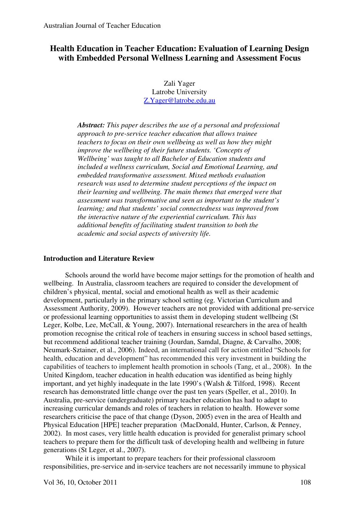# **Health Education in Teacher Education: Evaluation of Learning Design with Embedded Personal Wellness Learning and Assessment Focus**

Zali Yager Latrobe University Z.Yager@latrobe.edu.au

*Abstract: This paper describes the use of a personal and professional approach to pre-service teacher education that allows trainee teachers to focus on their own wellbeing as well as how they might improve the wellbeing of their future students. 'Concepts of Wellbeing' was taught to all Bachelor of Education students and included a wellness curriculum, Social and Emotional Learning, and embedded transformative assessment. Mixed methods evaluation research was used to determine student perceptions of the impact on their learning and wellbeing. The main themes that emerged were that assessment was transformative and seen as important to the student's learning; and that students' social connectedness was improved from the interactive nature of the experiential curriculum. This has additional benefits of facilitating student transition to both the academic and social aspects of university life.* 

### **Introduction and Literature Review**

Schools around the world have become major settings for the promotion of health and wellbeing. In Australia, classroom teachers are required to consider the development of children's physical, mental, social and emotional health as well as their academic development, particularly in the primary school setting (eg. Victorian Curriculum and Assessment Authority, 2009). However teachers are not provided with additional pre-service or professional learning opportunities to assist them in developing student wellbeing (St Leger, Kolbe, Lee, McCall, & Young, 2007). International researchers in the area of health promotion recognise the critical role of teachers in ensuring success in school based settings, but recommend additional teacher training (Jourdan, Samdal, Diagne, & Carvalho, 2008; Neumark-Sztainer, et al., 2006). Indeed, an international call for action entitled "Schools for health, education and development" has recommended this very investment in building the capabilities of teachers to implement health promotion in schools (Tang, et al., 2008). In the United Kingdom, teacher education in health education was identified as being highly important, and yet highly inadequate in the late 1990's (Walsh & Tilford, 1998). Recent research has demonstrated little change over the past ten years (Speller, et al., 2010). In Australia, pre-service (undergraduate) primary teacher education has had to adapt to increasing curricular demands and roles of teachers in relation to health. However some researchers criticise the pace of that change (Dyson, 2005) even in the area of Health and Physical Education [HPE] teacher preparation (MacDonald, Hunter, Carlson, & Penney, 2002). In most cases, very little health education is provided for generalist primary school teachers to prepare them for the difficult task of developing health and wellbeing in future generations (St Leger, et al., 2007).

While it is important to prepare teachers for their professional classroom responsibilities, pre-service and in-service teachers are not necessarily immune to physical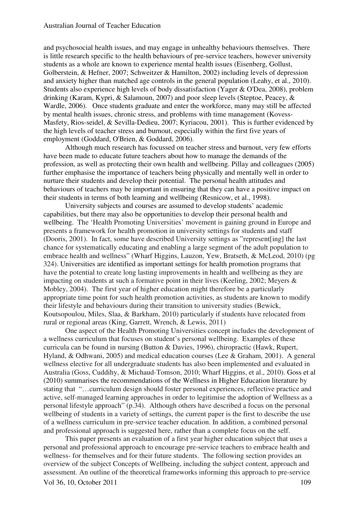and psychosocial health issues, and may engage in unhealthy behaviours themselves. There is little research specific to the health behaviours of pre-service teachers, however university students as a whole are known to experience mental health issues (Eisenberg, Gollust, Golberstein, & Hefner, 2007; Schweitzer & Hamilton, 2002) including levels of depression and anxiety higher than matched age controls in the general population (Leahy, et al., 2010). Students also experience high levels of body dissatisfaction (Yager & O'Dea, 2008), problem drinking (Karam, Kypri, & Salamoun, 2007) and poor sleep levels (Steptoe, Peacey, & Wardle, 2006). Once students graduate and enter the workforce, many may still be affected by mental health issues, chronic stress, and problems with time management (Kovess-Masfety, Rios-seidel, & Sevilla-Dedieu, 2007; Kyriacou, 2001). This is further evidenced by the high levels of teacher stress and burnout, especially within the first five years of employment (Goddard, O'Brien, & Goddard, 2006).

Although much research has focussed on teacher stress and burnout, very few efforts have been made to educate future teachers about how to manage the demands of the profession, as well as protecting their own health and wellbeing. Pillay and colleagues (2005) further emphasise the importance of teachers being physically and mentally well in order to nurture their students and develop their potential. The personal health attitudes and behaviours of teachers may be important in ensuring that they can have a positive impact on their students in terms of both learning and wellbeing (Resnicow, et al., 1998).

University subjects and courses are assumed to develop students' academic capabilities, but there may also be opportunities to develop their personal health and wellbeing. The 'Health Promoting Universities' movement is gaining ground in Europe and presents a framework for health promotion in university settings for students and staff (Dooris, 2001). In fact, some have described University settings as "represent[ing] the last chance for systematically educating and enabling a large segment of the adult population to embrace health and wellness" (Wharf Higgins, Lauzon, Yew, Bratseth, & McLeod, 2010) (pg 324). Universities are identified as important settings for health promotion programs that have the potential to create long lasting improvements in health and wellbeing as they are impacting on students at such a formative point in their lives (Keeling, 2002; Meyers & Mobley, 2004). The first year of higher education might therefore be a particularly appropriate time point for such health promotion activities, as students are known to modify their lifestyle and behaviours during their transition to university studies (Bewick, Koutsopoulou, Miles, Slaa, & Barkham, 2010) particularly if students have relocated from rural or regional areas (King, Garrett, Wrench, & Lewis, 2011)

One aspect of the Health Promoting Universities concept includes the development of a wellness curriculum that focuses on student's personal wellbeing. Examples of these curricula can be found in nursing (Button & Davies, 1996), chiropractic (Hawk, Rupert, Hyland, & Odhwani, 2005) and medical education courses (Lee & Graham, 2001). A general wellness elective for all undergraduate students has also been implemented and evaluated in Australia (Goss, Cuddihy, & Michaud-Tomson, 2010; Wharf Higgins, et al., 2010). Goss et al (2010) summarises the recommendations of the Wellness in Higher Education literature by stating that "…curriculum design should foster personal experiences, reflective practice and active, self-managed learning approaches in order to legitimise the adoption of Wellness as a personal lifestyle approach" (p.34). Although others have described a focus on the personal wellbeing of students in a variety of settings, the current paper is the first to describe the use of a wellness curriculum in pre-service teacher education. In addition, a combined personal and professional approach is suggested here, rather than a complete focus on the self.

This paper presents an evaluation of a first year higher education subject that uses a personal and professional approach to encourage pre-service teachers to embrace health and wellness- for themselves and for their future students. The following section provides an overview of the subject Concepts of Wellbeing, including the subject content, approach and assessment. An outline of the theoretical frameworks informing this approach to pre-service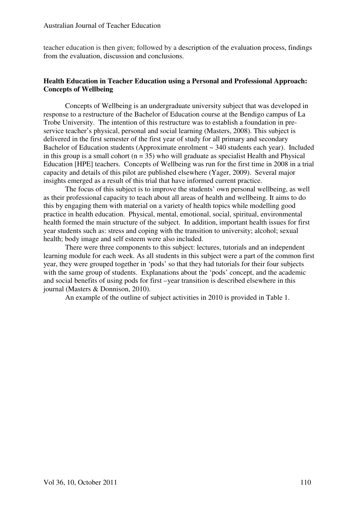#### Australian Journal of Teacher Education

teacher education is then given; followed by a description of the evaluation process, findings from the evaluation, discussion and conclusions.

# **Health Education in Teacher Education using a Personal and Professional Approach: Concepts of Wellbeing**

Concepts of Wellbeing is an undergraduate university subject that was developed in response to a restructure of the Bachelor of Education course at the Bendigo campus of La Trobe University. The intention of this restructure was to establish a foundation in preservice teacher's physical, personal and social learning (Masters, 2008). This subject is delivered in the first semester of the first year of study for all primary and secondary Bachelor of Education students (Approximate enrolment  $\sim$  340 students each year). Included in this group is a small cohort ( $n = 35$ ) who will graduate as specialist Health and Physical Education [HPE] teachers. Concepts of Wellbeing was run for the first time in 2008 in a trial capacity and details of this pilot are published elsewhere (Yager, 2009). Several major insights emerged as a result of this trial that have informed current practice.

The focus of this subject is to improve the students' own personal wellbeing, as well as their professional capacity to teach about all areas of health and wellbeing. It aims to do this by engaging them with material on a variety of health topics while modelling good practice in health education. Physical, mental, emotional, social, spiritual, environmental health formed the main structure of the subject. In addition, important health issues for first year students such as: stress and coping with the transition to university; alcohol; sexual health; body image and self esteem were also included.

There were three components to this subject: lectures, tutorials and an independent learning module for each week. As all students in this subject were a part of the common first year, they were grouped together in 'pods' so that they had tutorials for their four subjects with the same group of students. Explanations about the 'pods' concept, and the academic and social benefits of using pods for first –year transition is described elsewhere in this journal (Masters & Donnison, 2010).

An example of the outline of subject activities in 2010 is provided in Table 1.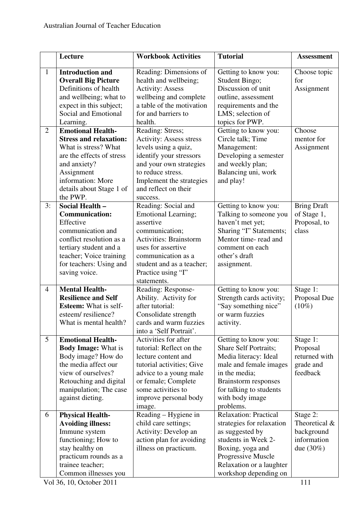|                | Lecture                                   | <b>Workbook Activities</b>                   | <b>Tutorial</b>              | <b>Assessment</b>  |
|----------------|-------------------------------------------|----------------------------------------------|------------------------------|--------------------|
| $\mathbf{1}$   | <b>Introduction and</b>                   | Reading: Dimensions of                       | Getting to know you:         | Choose topic       |
|                | <b>Overall Big Picture</b>                | health and wellbeing;                        | Student Bingo;               | for                |
|                | Definitions of health                     | <b>Activity: Assess</b>                      | Discussion of unit           | Assignment         |
|                | and wellbeing; what to                    | wellbeing and complete                       | outline, assessment          |                    |
|                | expect in this subject;                   | a table of the motivation                    | requirements and the         |                    |
|                | Social and Emotional                      | for and barriers to                          | LMS; selection of            |                    |
|                | Learning.                                 | health.                                      | topics for PWP.              |                    |
| $\overline{2}$ | <b>Emotional Health-</b>                  | Reading: Stress;                             | Getting to know you:         | Choose             |
|                | <b>Stress and relaxation:</b>             | <b>Activity: Assess stress</b>               | Circle talk; Time            | mentor for         |
|                | What is stress? What                      | levels using a quiz,                         | Management:                  | Assignment         |
|                | are the effects of stress                 | identify your stressors                      | Developing a semester        |                    |
|                | and anxiety?                              | and your own strategies                      | and weekly plan;             |                    |
|                | Assignment                                | Balancing uni, work<br>to reduce stress.     |                              |                    |
|                | information: More                         | Implement the strategies                     | and play!                    |                    |
|                | details about Stage 1 of                  | and reflect on their                         |                              |                    |
|                | the PWP.                                  | success.                                     |                              |                    |
| 3:             | Social Health -                           | Reading: Social and                          | Getting to know you:         | <b>Bring Draft</b> |
|                | <b>Communication:</b>                     | <b>Emotional Learning;</b>                   | Talking to someone you       | of Stage 1,        |
|                | Effective                                 | assertive                                    | haven't met yet;             | Proposal, to       |
|                | communication and                         | communication;                               | Sharing "I" Statements;      | class              |
|                | conflict resolution as a                  | <b>Activities: Brainstorm</b>                | Mentor time- read and        |                    |
|                | tertiary student and a                    | uses for assertive                           | comment on each              |                    |
|                | teacher; Voice training                   | communication as a                           | other's draft                |                    |
|                | for teachers: Using and                   | student and as a teacher;                    | assignment.                  |                    |
|                | saving voice.                             | Practice using "I"                           |                              |                    |
|                |                                           | statements.                                  |                              |                    |
| $\overline{4}$ | <b>Mental Health-</b>                     | Reading: Response-                           | Getting to know you:         | Stage 1:           |
|                | <b>Resilience and Self</b>                | Ability. Activity for                        | Strength cards activity;     | Proposal Due       |
|                | <b>Esteem:</b> What is self-              | after tutorial:                              | "Say something nice"         | $(10\%)$           |
|                | esteem/resilience?                        | Consolidate strength                         | or warm fuzzies              |                    |
|                | What is mental health?                    | cards and warm fuzzies                       | activity.                    |                    |
|                |                                           | into a 'Self Portrait'.                      |                              |                    |
| 5 <sup>5</sup> | <b>Emotional Health-</b>                  | Activities for after                         | Getting to know you:         | Stage 1:           |
|                | <b>Body Image: What is</b>                | tutorial: Reflect on the                     | <b>Share Self Portraits;</b> | Proposal           |
|                | Body image? How do                        | lecture content and                          | Media literacy: Ideal        | returned with      |
|                | the media affect our                      | tutorial activities; Give                    | male and female images       | grade and          |
|                | view of ourselves?                        | advice to a young male                       | in the media;                | feedback           |
|                | Retouching and digital                    | or female; Complete                          | Brainstorm responses         |                    |
|                | manipulation; The case                    | some activities to                           | for talking to students      |                    |
|                | against dieting.                          | improve personal body                        | with body image<br>problems. |                    |
| 6              | image.                                    |                                              | <b>Relaxation: Practical</b> | Stage 2:           |
|                | <b>Physical Health-</b>                   | Reading - Hygiene in<br>child care settings; | strategies for relaxation    | Theoretical &      |
|                | <b>Avoiding illness:</b><br>Immune system | Activity: Develop an                         | as suggested by              | background         |
|                | functioning; How to                       | action plan for avoiding                     | students in Week 2-          | information        |
|                | stay healthy on                           | illness on practicum.                        | Boxing, yoga and             | due $(30\%)$       |
|                | practicum rounds as a                     |                                              | Progressive Muscle           |                    |
|                | trainee teacher;                          |                                              | Relaxation or a laughter     |                    |
|                | Common illnesses you                      |                                              | workshop depending on        |                    |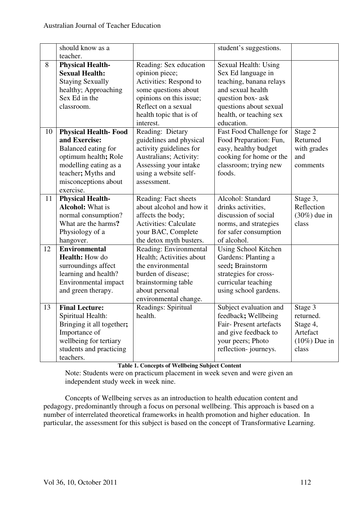|    | should know as a<br>teacher.                                                                                                                                                    |                                                                                                                                                                                      | student's suggestions.                                                                                                                                                            |                                                                          |
|----|---------------------------------------------------------------------------------------------------------------------------------------------------------------------------------|--------------------------------------------------------------------------------------------------------------------------------------------------------------------------------------|-----------------------------------------------------------------------------------------------------------------------------------------------------------------------------------|--------------------------------------------------------------------------|
| 8  | <b>Physical Health-</b><br><b>Sexual Health:</b><br><b>Staying Sexually</b><br>healthy; Approaching<br>Sex Ed in the<br>classroom.                                              | Reading: Sex education<br>opinion piece;<br>Activities: Respond to<br>some questions about<br>opinions on this issue;<br>Reflect on a sexual<br>health topic that is of<br>interest. | Sexual Health: Using<br>Sex Ed language in<br>teaching, banana relays<br>and sexual health<br>question box-ask<br>questions about sexual<br>health, or teaching sex<br>education. |                                                                          |
| 10 | <b>Physical Health-Food</b><br>and Exercise:<br>Balanced eating for<br>optimum health; Role<br>modelling eating as a<br>teacher; Myths and<br>misconceptions about<br>exercise. | Reading: Dietary<br>guidelines and physical<br>activity guidelines for<br>Australians; Activity:<br>Assessing your intake<br>using a website self-<br>assessment.                    | Fast Food Challenge for<br>Food Preparation: Fun,<br>easy, healthy budget<br>cooking for home or the<br>classroom; trying new<br>foods.                                           | Stage 2<br>Returned<br>with grades<br>and<br>comments                    |
| 11 | <b>Physical Health-</b><br><b>Alcohol:</b> What is<br>normal consumption?<br>What are the harms?<br>Physiology of a<br>hangover.                                                | Reading: Fact sheets<br>about alcohol and how it<br>affects the body;<br><b>Activities: Calculate</b><br>your BAC, Complete<br>the detox myth busters.                               | Alcohol: Standard<br>drinks activities,<br>discussion of social<br>norms, and strategies<br>for safer consumption<br>of alcohol.                                                  | Stage 3,<br>Reflection<br>$(30\%)$ due in<br>class                       |
| 12 | <b>Environmental</b><br>Health: How do<br>surroundings affect<br>learning and health?<br>Environmental impact<br>and green therapy.                                             | Reading: Environmental<br>Health; Activities about<br>the environmental<br>burden of disease;<br>brainstorming table<br>about personal<br>environmental change.                      | Using School Kitchen<br>Gardens: Planting a<br>seed; Brainstorm<br>strategies for cross-<br>curricular teaching<br>using school gardens.                                          |                                                                          |
| 13 | <b>Final Lecture:</b><br>Spiritual Health:<br>Bringing it all together;<br>Importance of<br>wellbeing for tertiary<br>students and practicing<br>teachers.                      | Readings: Spiritual<br>health.                                                                                                                                                       | Subject evaluation and<br>feedback; Wellbeing<br>Fair-Present artefacts<br>and give feedback to<br>your peers; Photo<br>reflection-journeys.                                      | Stage 3<br>returned.<br>Stage 4,<br>Artefact<br>$(10\%)$ Due in<br>class |

# **Table 1. Concepts of Wellbeing Subject Content**

Note: Students were on practicum placement in week seven and were given an independent study week in week nine.

 Concepts of Wellbeing serves as an introduction to health education content and pedagogy, predominantly through a focus on personal wellbeing. This approach is based on a number of interrelated theoretical frameworks in health promotion and higher education. In particular, the assessment for this subject is based on the concept of Transformative Learning.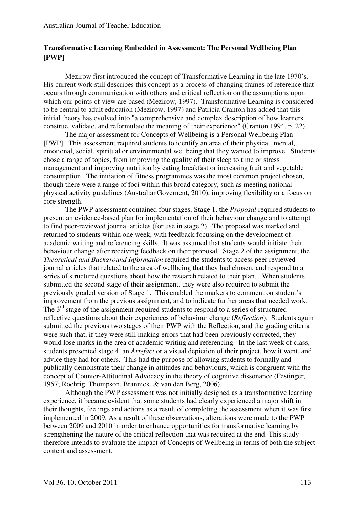# **Transformative Learning Embedded in Assessment: The Personal Wellbeing Plan [PWP]**

Mezirow first introduced the concept of Transformative Learning in the late 1970's. His current work still describes this concept as a process of changing frames of reference that occurs through communication with others and critical reflection on the assumptions upon which our points of view are based (Mezirow, 1997). Transformative Learning is considered to be central to adult education (Mezirow, 1997) and Patricia Cranton has added that this initial theory has evolved into "a comprehensive and complex description of how learners construe, validate, and reformulate the meaning of their experience" (Cranton 1994, p. 22).

The major assessment for Concepts of Wellbeing is a Personal Wellbeing Plan [PWP]. This assessment required students to identify an area of their physical, mental, emotional, social, spiritual or environmental wellbeing that they wanted to improve. Students chose a range of topics, from improving the quality of their sleep to time or stress management and improving nutrition by eating breakfast or increasing fruit and vegetable consumption. The initiation of fitness programmes was the most common project chosen, though there were a range of foci within this broad category, such as meeting national physical activity guidelines (AustralianGovernent, 2010), improving flexibility or a focus on core strength.

The PWP assessment contained four stages. Stage 1, the *Proposal* required students to present an evidence-based plan for implementation of their behaviour change and to attempt to find peer-reviewed journal articles (for use in stage 2). The proposal was marked and returned to students within one week, with feedback focussing on the development of academic writing and referencing skills. It was assumed that students would initiate their behaviour change after receiving feedback on their proposal. Stage 2 of the assignment, the *Theoretical and Background Information* required the students to access peer reviewed journal articles that related to the area of wellbeing that they had chosen, and respond to a series of structured questions about how the research related to their plan. When students submitted the second stage of their assignment, they were also required to submit the previously graded version of Stage 1. This enabled the markers to comment on student's improvement from the previous assignment, and to indicate further areas that needed work. The  $3<sup>rd</sup>$  stage of the assignment required students to respond to a series of structured reflective questions about their experiences of behaviour change (*Reflection*). Students again submitted the previous two stages of their PWP with the Reflection, and the grading criteria were such that, if they were still making errors that had been previously corrected, they would lose marks in the area of academic writing and referencing. In the last week of class, students presented stage 4, an *Artefact* or a visual depiction of their project, how it went, and advice they had for others. This had the purpose of allowing students to formally and publically demonstrate their change in attitudes and behaviours, which is congruent with the concept of Counter-Attitudinal Advocacy in the theory of cognitive dissonance (Festinger, 1957; Roehrig, Thompson, Brannick, & van den Berg, 2006).

Although the PWP assessment was not initially designed as a transformative learning experience, it became evident that some students had clearly experienced a major shift in their thoughts, feelings and actions as a result of completing the assessment when it was first implemented in 2009. As a result of these observations, alterations were made to the PWP between 2009 and 2010 in order to enhance opportunities for transformative learning by strengthening the nature of the critical reflection that was required at the end. This study therefore intends to evaluate the impact of Concepts of Wellbeing in terms of both the subject content and assessment.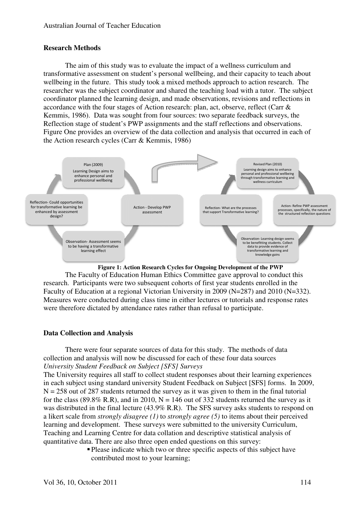# **Research Methods**

The aim of this study was to evaluate the impact of a wellness curriculum and transformative assessment on student's personal wellbeing, and their capacity to teach about wellbeing in the future. This study took a mixed methods approach to action research. The researcher was the subject coordinator and shared the teaching load with a tutor. The subject researcher was the subject coordinator and shared the teaching load with a tutor. The subject<br>coordinator planned the learning design, and made observations, revisions and reflections in coordinator planned the learning design, and made observations, revisions and reflecti<br>accordance with the four stages of Action research: plan, act, observe, reflect (Carr & Kemmis, 1986). Data was sought from four sources: two separate feedback surveys, the Reflection stage of student's PWP assignments and the staff reflections and observations. Figure One provides an overview of the data collection and analysis that occurred in each of the Action research cycles (Carr & Kemmis, 1986)



**Figure 1: Action Research Cycles for Ongoing Development of the PWP**

The Faculty of Education Human Ethics Committee gave approval to conduct this research. Participants were two subsequent cohorts of first year students enrolled in the Faculty of Education at a regional Victorian University in 2009 (N=287) and 2010 (N=332). Measures were conducted during class time in either lectures or tutorials and response rates were therefore dictated by attendance rates rather than refusal to participate.

### **Data Collection and Analysis**

There were four separate sources of data for this study. The methods of data collection and analysis will now be discussed for each of these four data sources *University Student Feedback on Subject [SFS] [SFS] Surveys* Example 18 and the participate.<br>
Separation of data for this study. The methods of data<br>
Seed for each of these four data sources<br>
(*SFS] Surveys*<br>
t student responses about their learning experiences<br>
Student Feedback on

The University requires all staff to collect student responses about their learning experiences in each subject using standard university Student Feedback on Subject [SFS]  $N = 258$  out of 287 students returned the survey as it was given to them in the final tutorial for the class (89.8% R.R), and in 2010,  $N = 146$  out of 332 students returned the survey as it for the class (89.8% R.R), and in 2010,  $N = 146$  out of 332 students returned the survey as it was distributed in the final lecture (43.9% R.R). The SFS survey asks students to respond on a likert scale from *strongly disagree (1)* to *strongly agree (5)* to items about their their perceived learning and development. These surveys were submitted to the university Curriculum, Teaching and Learning Centre for data collation and descriptive statistical analysis of quantitative data. There are also three open ended q questions on this survey: Action- Refine PWP<br>
Action- Refine PWP<br>
Processes, specifically, the nature<br>
the structured reflection question<br>
mathe evaluatis. Collect<br>
mathe learning and<br>
owledge gains<br> **the PWP**<br>
to conduct this<br>
nrolled in the<br>
md 2

> Please indicate which two or three specific aspects of this subject have contributed most to your learning;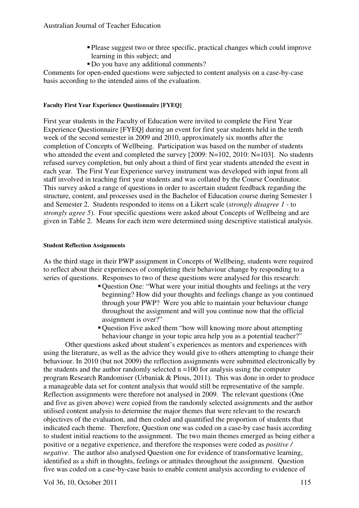- Please suggest two or three specific, practical changes which could improve learning in this subject; and
- Do you have any additional comments?

Comments for open-ended questions were subjected to content analysis on a case-by-case basis according to the intended aims of the evaluation.

# **Faculty First Year Experience Questionnaire [FYEQ]**

First year students in the Faculty of Education were invited to complete the First Year Experience Questionnaire [FYEQ] during an event for first year students held in the tenth week of the second semester in 2009 and 2010, approximately six months after the completion of Concepts of Wellbeing. Participation was based on the number of students who attended the event and completed the survey [2009: N=102, 2010: N=103]. No students refused survey completion, but only about a third of first year students attended the event in each year. The First Year Experience survey instrument was developed with input from all staff involved in teaching first year students and was collated by the Course Coordinator. This survey asked a range of questions in order to ascertain student feedback regarding the structure, content, and processes used in the Bachelor of Education course during Semester 1 and Semester 2. Students responded to items on a Likert scale (*strongly disagree 1* - to *strongly agree 5*). Four specific questions were asked about Concepts of Wellbeing and are given in Table 2. Means for each item were determined using descriptive statistical analysis.

### **Student Reflection Assignments**

As the third stage in their PWP assignment in Concepts of Wellbeing, students were required to reflect about their experiences of completing their behaviour change by responding to a series of questions. Responses to two of these questions were analysed for this research:

- Question One: "What were your initial thoughts and feelings at the very beginning? How did your thoughts and feelings change as you continued through your PWP? Were you able to maintain your behaviour change throughout the assignment and will you continue now that the official assignment is over?"
- Question Five asked them "how will knowing more about attempting behaviour change in your topic area help you as a potential teacher?"

Other questions asked about student's experiences as mentors and experiences with using the literature, as well as the advice they would give to others attempting to change their behaviour. In 2010 (but not 2009) the reflection assignments were submitted electronically by the students and the author randomly selected  $n = 100$  for analysis using the computer program Research Randomiser (Urbaniak & Plous, 2011). This was done in order to produce a manageable data set for content analysis that would still be representative of the sample. Reflection assignments were therefore not analysed in 2009. The relevant questions (One and five as given above) were copied from the randomly selected assignments and the author utilised content analysis to determine the major themes that were relevant to the research objectives of the evaluation, and then coded and quantified the proportion of students that indicated each theme. Therefore, Question one was coded on a case-by case basis according to student initial reactions to the assignment. The two main themes emerged as being either a positive or a negative experience, and therefore the responses were coded as *positive / negative*. The author also analysed Question one for evidence of transformative learning, identified as a shift in thoughts, feelings or attitudes throughout the assignment. Question five was coded on a case-by-case basis to enable content analysis according to evidence of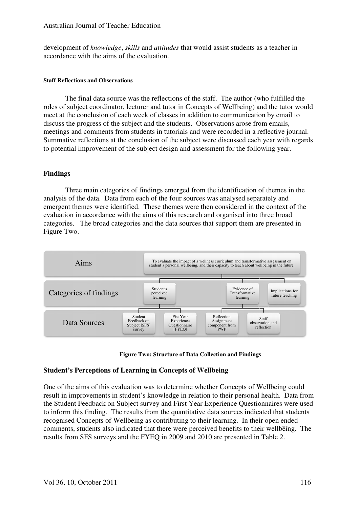### Australian Journal of Teacher Education

development of *knowledge*, *skills* and *attitudes* that would assist students as a teacher in accordance with the aims of the evaluation.

#### **Staff Reflections and Observations**

The final data source was the reflections of the staff. The author (who fulfilled the roles of subject coordinator, lecturer and tutor in Concepts of Wellbeing) and the tutor would meet at the conclusion of each week of classes in addition to communication meet at the conclusion of each week of classes in addition to communication by email<br>discuss the progress of the subject and the students. Observations arose from emails, meetings and comments from students in tutorials and were recorded in a reflective journal. Summative reflections at the conclusion of the subject were discussed each year with regards to potential improvement of the subject design and assessment for the following year. d assist students as a teacher in<br>aff. The author (who fulfilled th<br>ts of Wellbeing) and the tutor wo<br>n to communication by email to

# **Findings**

Three main categories of findings emerged from the identification of themes in the analysis of the data. Data from each of the four sources was analysed separately and emergent themes were identified. These themes were then considered in the context of the evaluation in accordance with the aims of this research and organised into three broad categories. The broad categories and the data sources that support them are presented in Figure Two. and comments from students in tutorials and were recorded in a reflective jouve reflections at the conclusion of the subject were discussed each year with r al improvement of the subject design and assessment for the follo



**Figure Two: Structure of Data Collection and Findings**

# **Student's Perceptions of Learning in Concepts of Wellbeing**

One of the aims of this evaluation was to determine whether Concepts of Wellbeing could result in improvements in student's knowledge in relation to their personal health. Data from the Student Feedback on Subject s survey and First Year Experience Questionnaire Questionnaires were used to inform this finding. The results from the quantitative data sources indicated that students recognised Concepts of Wellbeing as contributing to their learning. In their open ended comments, students also indicated that there were perceived benefits to their wellbeing. The results from SFS surveys and the FYEQ in 2009 and 2010 are presented in Table 2.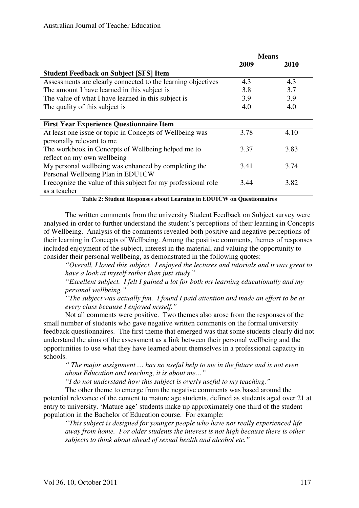|                                                                | <b>Means</b> |             |  |
|----------------------------------------------------------------|--------------|-------------|--|
|                                                                | 2009         | <b>2010</b> |  |
| <b>Student Feedback on Subject [SFS] Item</b>                  |              |             |  |
| Assessments are clearly connected to the learning objectives   | 4.3          | 4.3         |  |
| The amount I have learned in this subject is                   | 3.8          | 3.7         |  |
| The value of what I have learned in this subject is            | 3.9          | 3.9         |  |
| The quality of this subject is                                 | 4.0          | 4.0         |  |
|                                                                |              |             |  |
| <b>First Year Experience Questionnaire Item</b>                |              |             |  |
| At least one issue or topic in Concepts of Wellbeing was       | 3.78         | 4.10        |  |
| personally relevant to me                                      |              |             |  |
| The workbook in Concepts of Wellbeing helped me to             | 3.37         | 3.83        |  |
| reflect on my own wellbeing                                    |              |             |  |
| My personal wellbeing was enhanced by completing the           | 3.41         | 3.74        |  |
| Personal Wellbeing Plan in EDU1CW                              |              |             |  |
| I recognize the value of this subject for my professional role | 3.44         | 3.82        |  |
| as a teacher                                                   |              |             |  |

**Table 2: Student Responses about Learning in EDU1CW on Questionnaires** 

The written comments from the university Student Feedback on Subject survey were analysed in order to further understand the student's perceptions of their learning in Concepts of Wellbeing. Analysis of the comments revealed both positive and negative perceptions of their learning in Concepts of Wellbeing. Among the positive comments, themes of responses included enjoyment of the subject, interest in the material, and valuing the opportunity to consider their personal wellbeing, as demonstrated in the following quotes:

*"Overall, I loved this subject. I enjoyed the lectures and tutorials and it was great to have a look at myself rather than just study*."

*"Excellent subject. I felt I gained a lot for both my learning educationally and my personal wellbeing."* 

*"The subject was actually fun. I found I paid attention and made an effort to be at every class because I enjoyed myself."*

Not all comments were positive. Two themes also arose from the responses of the small number of students who gave negative written comments on the formal university feedback questionnaires. The first theme that emerged was that some students clearly did not understand the aims of the assessment as a link between their personal wellbeing and the opportunities to use what they have learned about themselves in a professional capacity in schools.

*" The major assignment … has no useful help to me in the future and is not even about Education and teaching, it is about me…"* 

*"I do not understand how this subject is overly useful to my teaching."* 

The other theme to emerge from the negative comments was based around the potential relevance of the content to mature age students, defined as students aged over 21 at entry to university. 'Mature age' students make up approximately one third of the student population in the Bachelor of Education course. For example:

*"This subject is designed for younger people who have not really experienced life away from home. For older students the interest is not high because there is other subjects to think about ahead of sexual health and alcohol etc."*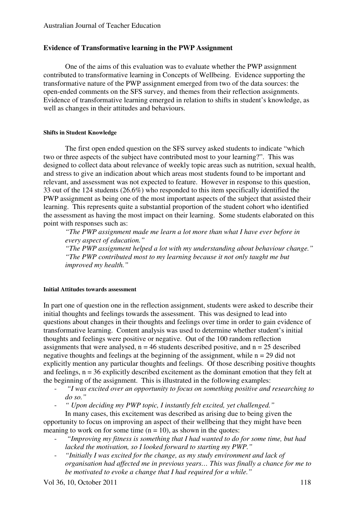#### **Evidence of Transformative learning in the PWP Assignment**

One of the aims of this evaluation was to evaluate whether the PWP assignment contributed to transformative learning in Concepts of Wellbeing. Evidence supporting the transformative nature of the PWP assignment emerged from two of the data sources: the open-ended comments on the SFS survey, and themes from their reflection assignments. Evidence of transformative learning emerged in relation to shifts in student's knowledge, as well as changes in their attitudes and behaviours.

#### **Shifts in Student Knowledge**

The first open ended question on the SFS survey asked students to indicate "which two or three aspects of the subject have contributed most to your learning?". This was designed to collect data about relevance of weekly topic areas such as nutrition, sexual health, and stress to give an indication about which areas most students found to be important and relevant, and assessment was not expected to feature. However in response to this question, 33 out of the 124 students (26.6%) who responded to this item specifically identified the PWP assignment as being one of the most important aspects of the subject that assisted their learning. This represents quite a substantial proportion of the student cohort who identified the assessment as having the most impact on their learning. Some students elaborated on this point with responses such as:

*"The PWP assignment made me learn a lot more than what I have ever before in every aspect of education."* 

*"The PWP assignment helped a lot with my understanding about behaviour change." "The PWP contributed most to my learning because it not only taught me but improved my health."* 

#### **Initial Attitudes towards assessment**

In part one of question one in the reflection assignment, students were asked to describe their initial thoughts and feelings towards the assessment. This was designed to lead into questions about changes in their thoughts and feelings over time in order to gain evidence of transformative learning. Content analysis was used to determine whether student's initial thoughts and feelings were positive or negative. Out of the 100 random reflection assignments that were analysed,  $n = 46$  students described positive, and  $n = 25$  described negative thoughts and feelings at the beginning of the assignment, while  $n = 29$  did not explicitly mention any particular thoughts and feelings. Of those describing positive thoughts and feelings,  $n = 36$  explicitly described excitement as the dominant emotion that they felt at the beginning of the assignment. This is illustrated in the following examples:

- *"I was excited over an opportunity to focus on something positive and researching to do so."* 

- *" Upon deciding my PWP topic, I instantly felt excited, yet challenged."* 

In many cases, this excitement was described as arising due to being given the opportunity to focus on improving an aspect of their wellbeing that they might have been meaning to work on for some time  $(n = 10)$ , as shown in the quotes:

- - *"Improving my fitness is something that I had wanted to do for some time, but had lacked the motivation, so I looked forward to starting my PWP."*
- *"Initially I was excited for the change, as my study environment and lack of organisation had affected me in previous years… This was finally a chance for me to be motivated to evoke a change that I had required for a while."*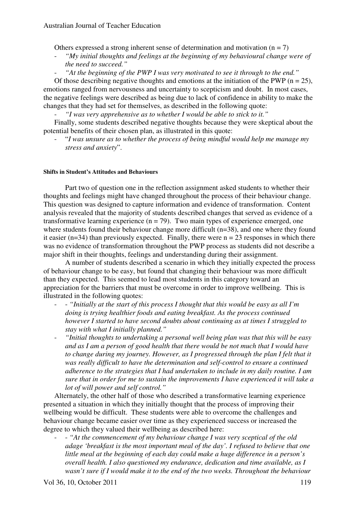Others expressed a strong inherent sense of determination and motivation  $(n = 7)$ 

- *"My initial thoughts and feelings at the beginning of my behavioural change were of the need to succeed."*
- "At the beginning of the PWP I was very motivated to see it through to the end."

Of those describing negative thoughts and emotions at the initiation of the PWP ( $n = 25$ ), emotions ranged from nervousness and uncertainty to scepticism and doubt. In most cases, the negative feelings were described as being due to lack of confidence in ability to make the changes that they had set for themselves, as described in the following quote:

- *"I was very apprehensive as to whether I would be able to stick to it."* 

Finally, some students described negative thoughts because they were skeptical about the potential benefits of their chosen plan, as illustrated in this quote:

- "*I was unsure as to whether the process of being mindful would help me manage my stress and anxiety*".

#### **Shifts in Student's Attitudes and Behaviours**

Part two of question one in the reflection assignment asked students to whether their thoughts and feelings might have changed throughout the process of their behaviour change. This question was designed to capture information and evidence of transformation. Content analysis revealed that the majority of students described changes that served as evidence of a transformative learning experience  $(n = 79)$ . Two main types of experience emerged, one where students found their behaviour change more difficult (n=38), and one where they found it easier ( $n=34$ ) than previously expected. Finally, there were  $n = 23$  responses in which there was no evidence of transformation throughout the PWP process as students did not describe a major shift in their thoughts, feelings and understanding during their assignment.

A number of students described a scenario in which they initially expected the process of behaviour change to be easy, but found that changing their behaviour was more difficult than they expected. This seemed to lead most students in this category toward an appreciation for the barriers that must be overcome in order to improve wellbeing. This is illustrated in the following quotes:

- - *"Initially at the start of this process I thought that this would be easy as all I'm doing is trying healthier foods and eating breakfast. As the process continued however I started to have second doubts about continuing as at times I struggled to stay with what I initially planned."*
- *"Initial thoughts to undertaking a personal well being plan was that this will be easy and as I am a person of good health that there would be not much that I would have to change during my journey. However, as I progressed through the plan I felt that it was really difficult to have the determination and self-control to ensure a continued adherence to the strategies that I had undertaken to include in my daily routine. I am sure that in order for me to sustain the improvements I have experienced it will take a lot of will power and self control."*

Alternately, the other half of those who described a transformative learning experience presented a situation in which they initially thought that the process of improving their wellbeing would be difficult. These students were able to overcome the challenges and behaviour change became easier over time as they experienced success or increased the degree to which they valued their wellbeing as described here:

- - *"At the commencement of my behaviour change I was very sceptical of the old adage 'breakfast is the most important meal of the day'. I refused to believe that one little meal at the beginning of each day could make a huge difference in a person's overall health. I also questioned my endurance, dedication and time available, as I wasn't sure if I would make it to the end of the two weeks. Throughout the behaviour*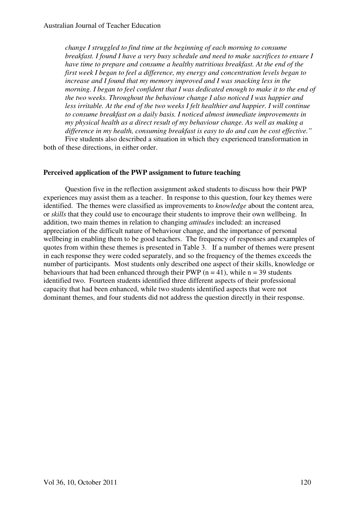*change I struggled to find time at the beginning of each morning to consume breakfast. I found I have a very busy schedule and need to make sacrifices to ensure I have time to prepare and consume a healthy nutritious breakfast. At the end of the first week I began to feel a difference, my energy and concentration levels began to increase and I found that my memory improved and I was snacking less in the morning. I began to feel confident that I was dedicated enough to make it to the end of the two weeks. Throughout the behaviour change I also noticed I was happier and less irritable. At the end of the two weeks I felt healthier and happier. I will continue to consume breakfast on a daily basis. I noticed almost immediate improvements in my physical health as a direct result of my behaviour change. As well as making a difference in my health, consuming breakfast is easy to do and can be cost effective."*  Five students also described a situation in which they experienced transformation in

both of these directions, in either order.

### **Perceived application of the PWP assignment to future teaching**

Question five in the reflection assignment asked students to discuss how their PWP experiences may assist them as a teacher. In response to this question, four key themes were identified. The themes were classified as improvements to *knowledge* about the content area, or *skills* that they could use to encourage their students to improve their own wellbeing. In addition, two main themes in relation to changing *attitudes* included: an increased appreciation of the difficult nature of behaviour change, and the importance of personal wellbeing in enabling them to be good teachers. The frequency of responses and examples of quotes from within these themes is presented in Table 3. If a number of themes were present in each response they were coded separately, and so the frequency of the themes exceeds the number of participants. Most students only described one aspect of their skills, knowledge or behaviours that had been enhanced through their PWP ( $n = 41$ ), while  $n = 39$  students identified two. Fourteen students identified three different aspects of their professional capacity that had been enhanced, while two students identified aspects that were not dominant themes, and four students did not address the question directly in their response.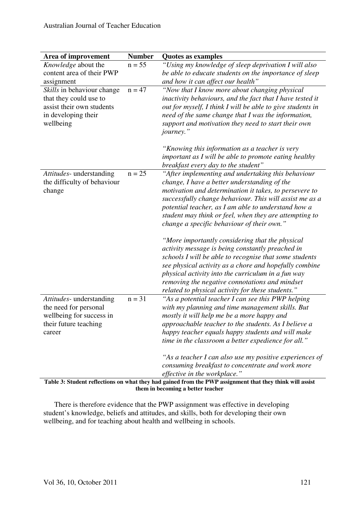| Area of improvement                                                                                                   | <b>Number</b> | <b>Quotes as examples</b>                                                                                                                                                                                                                                                                                                                                                                                                                                                                                                                                                                                                                                                                                                                                                      |
|-----------------------------------------------------------------------------------------------------------------------|---------------|--------------------------------------------------------------------------------------------------------------------------------------------------------------------------------------------------------------------------------------------------------------------------------------------------------------------------------------------------------------------------------------------------------------------------------------------------------------------------------------------------------------------------------------------------------------------------------------------------------------------------------------------------------------------------------------------------------------------------------------------------------------------------------|
| Knowledge about the<br>content area of their PWP<br>assignment                                                        | $n = 55$      | "Using my knowledge of sleep deprivation I will also<br>be able to educate students on the importance of sleep<br>and how it can affect our health"                                                                                                                                                                                                                                                                                                                                                                                                                                                                                                                                                                                                                            |
| Skills in behaviour change<br>that they could use to<br>assist their own students<br>in developing their<br>wellbeing | $n = 47$      | "Now that I know more about changing physical<br>inactivity behaviours, and the fact that I have tested it<br>out for myself, I think I will be able to give students in<br>need of the same change that I was the information,<br>support and motivation they need to start their own<br>journey."<br>"Knowing this information as a teacher is very                                                                                                                                                                                                                                                                                                                                                                                                                          |
|                                                                                                                       |               | important as I will be able to promote eating healthy<br>breakfast every day to the student"                                                                                                                                                                                                                                                                                                                                                                                                                                                                                                                                                                                                                                                                                   |
| Attitudes- understanding<br>the difficulty of behaviour<br>change                                                     | $n = 25$      | "After implementing and undertaking this behaviour<br>change, I have a better understanding of the<br>motivation and determination it takes, to persevere to<br>successfully change behaviour. This will assist me as a<br>potential teacher, as I am able to understand how a<br>student may think or feel, when they are attempting to<br>change a specific behaviour of their own."<br>"More importantly considering that the physical<br>activity message is being constantly preached in<br>schools I will be able to recognise that some students<br>see physical activity as a chore and hopefully combine<br>physical activity into the curriculum in a fun way<br>removing the negative connotations and mindset<br>related to physical activity for these students." |
| Attitudes- understanding<br>the need for personal<br>wellbeing for success in<br>their future teaching<br>career      | $n = 31$      | "As a potential teacher I can see this PWP helping<br>with my planning and time management skills. But<br>mostly it will help me be a more happy and<br>approachable teacher to the students. As I believe a<br>happy teacher equals happy students and will make<br>time in the classroom a better expedience for all."<br>"As a teacher I can also use my positive experiences of<br>consuming breakfast to concentrate and work more                                                                                                                                                                                                                                                                                                                                        |
|                                                                                                                       |               | <i>effective in the workplace.</i> "<br>Toble 3: Student reflections on what they had goined from the DWD essignment that they think will oscist                                                                                                                                                                                                                                                                                                                                                                                                                                                                                                                                                                                                                               |

**Table 3: Student reflections on what they had gained from the PWP assignment that they think will assist them in becoming a better teacher** 

There is therefore evidence that the PWP assignment was effective in developing student's knowledge, beliefs and attitudes, and skills, both for developing their own wellbeing, and for teaching about health and wellbeing in schools.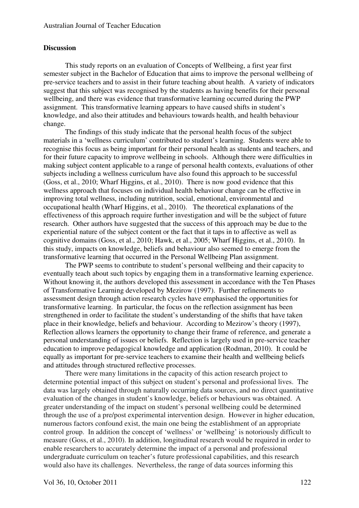#### **Discussion**

This study reports on an evaluation of Concepts of Wellbeing, a first year first semester subject in the Bachelor of Education that aims to improve the personal wellbeing of pre-service teachers and to assist in their future teaching about health. A variety of indicators suggest that this subject was recognised by the students as having benefits for their personal wellbeing, and there was evidence that transformative learning occurred during the PWP assignment. This transformative learning appears to have caused shifts in student's knowledge, and also their attitudes and behaviours towards health, and health behaviour change.

The findings of this study indicate that the personal health focus of the subject materials in a 'wellness curriculum' contributed to student's learning. Students were able to recognise this focus as being important for their personal health as students and teachers, and for their future capacity to improve wellbeing in schools. Although there were difficulties in making subject content applicable to a range of personal health contexts, evaluations of other subjects including a wellness curriculum have also found this approach to be successful (Goss, et al., 2010; Wharf Higgins, et al., 2010). There is now good evidence that this wellness approach that focuses on individual health behaviour change can be effective in improving total wellness, including nutrition, social, emotional, environmental and occupational health (Wharf Higgins, et al., 2010). The theoretical explanations of the effectiveness of this approach require further investigation and will be the subject of future research. Other authors have suggested that the success of this approach may be due to the experiential nature of the subject content or the fact that it taps in to affective as well as cognitive domains (Goss, et al., 2010; Hawk, et al., 2005; Wharf Higgins, et al., 2010). In this study, impacts on knowledge, beliefs and behaviour also seemed to emerge from the transformative learning that occurred in the Personal Wellbeing Plan assignment.

The PWP seems to contribute to student's personal wellbeing and their capacity to eventually teach about such topics by engaging them in a transformative learning experience. Without knowing it, the authors developed this assessment in accordance with the Ten Phases of Transformative Learning developed by Mezirow (1997). Further refinements to assessment design through action research cycles have emphasised the opportunities for transformative learning. In particular, the focus on the reflection assignment has been strengthened in order to facilitate the student's understanding of the shifts that have taken place in their knowledge, beliefs and behaviour. According to Mezirow's theory (1997), Reflection allows learners the opportunity to change their frame of reference, and generate a personal understanding of issues or beliefs. Reflection is largely used in pre-service teacher education to improve pedagogical knowledge and application (Rodman, 2010). It could be equally as important for pre-service teachers to examine their health and wellbeing beliefs and attitudes through structured reflective processes.

There were many limitations in the capacity of this action research project to determine potential impact of this subject on student's personal and professional lives. The data was largely obtained through naturally occurring data sources, and no direct quantitative evaluation of the changes in student's knowledge, beliefs or behaviours was obtained. A greater understanding of the impact on student's personal wellbeing could be determined through the use of a pre/post experimental intervention design. However in higher education, numerous factors confound exist, the main one being the establishment of an appropriate control group. In addition the concept of 'wellness' or 'wellbeing' is notoriously difficult to measure (Goss, et al., 2010). In addition, longitudinal research would be required in order to enable researchers to accurately determine the impact of a personal and professional undergraduate curriculum on teacher's future professional capabilities, and this research would also have its challenges. Nevertheless, the range of data sources informing this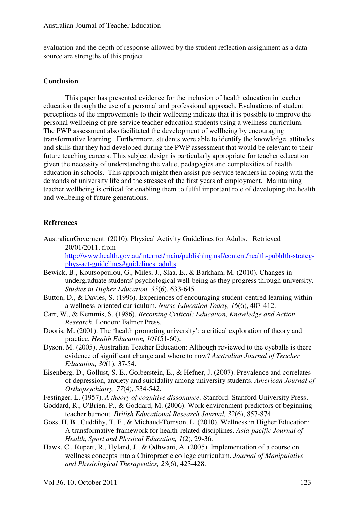evaluation and the depth of response allowed by the student reflection assignment as a data source are strengths of this project.

#### **Conclusion**

This paper has presented evidence for the inclusion of health education in teacher education through the use of a personal and professional approach. Evaluations of student perceptions of the improvements to their wellbeing indicate that it is possible to improve the personal wellbeing of pre-service teacher education students using a wellness curriculum. The PWP assessment also facilitated the development of wellbeing by encouraging transformative learning. Furthermore, students were able to identify the knowledge, attitudes and skills that they had developed during the PWP assessment that would be relevant to their future teaching careers. This subject design is particularly appropriate for teacher education given the necessity of understanding the value, pedagogies and complexities of health education in schools. This approach might then assist pre-service teachers in coping with the demands of university life and the stresses of the first years of employment. Maintaining teacher wellbeing is critical for enabling them to fulfil important role of developing the health and wellbeing of future generations.

#### **References**

- AustralianGovernent. (2010). Physical Activity Guidelines for Adults. Retrieved 20/01/2011, from http://www.health.gov.au/internet/main/publishing.nsf/content/health-pubhlth-strategphys-act-guidelines#guidelines\_adults
- Bewick, B., Koutsopoulou, G., Miles, J., Slaa, E., & Barkham, M. (2010). Changes in undergraduate students' psychological well-being as they progress through university. *Studies in Higher Education, 35*(6), 633-645.
- Button, D., & Davies, S. (1996). Experiences of encouraging student-centred learning within a wellness-oriented curriculum. *Nurse Education Today, 16*(6), 407-412.
- Carr, W., & Kemmis, S. (1986). *Becoming Critical: Education, Knowledge and Action Research*. London: Falmer Press.
- Dooris, M. (2001). The 'health promoting university': a critical exploration of theory and practice. *Health Education, 101*(51-60).
- Dyson, M. (2005). Australian Teacher Education: Although reviewed to the eyeballs is there evidence of significant change and where to now? *Australian Journal of Teacher Education, 30*(1), 37-54.
- Eisenberg, D., Gollust, S. E., Golberstein, E., & Hefner, J. (2007). Prevalence and correlates of depression, anxiety and suicidality among university students. *American Journal of Orthopsychiatry, 77*(4), 534-542.
- Festinger, L. (1957). *A theory of cognitive dissonance*. Stanford: Stanford University Press.
- Goddard, R., O'Brien, P., & Goddard, M. (2006). Work environment predictors of beginning teacher burnout. *British Educational Research Journal, 32*(6), 857-874.
- Goss, H. B., Cuddihy, T. F., & Michaud-Tomson, L. (2010). Wellness in Higher Education: A transformative framework for health-related disciplines. *Asia-pacific Journal of Health, Sport and Physical Education, 1*(2), 29-36.
- Hawk, C., Rupert, R., Hyland, J., & Odhwani, A. (2005). Implementation of a course on wellness concepts into a Chiropractic college curriculum. *Journal of Manipulative and Physiological Therapeutics, 28*(6), 423-428.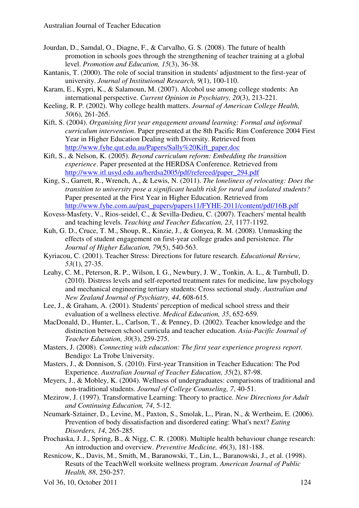- Jourdan, D., Samdal, O., Diagne, F., & Carvalho, G. S. (2008). The future of health promotion in schools goes through the strengthening of teacher training at a global level. *Promotion and Education, 15*(3), 36-38.
- Kantanis, T. (2000). The role of social transition in students' adjustment to the first-year of university. *Journal of Institutional Research, 9*(1), 100-110.
- Karam, E., Kypri, K., & Salamoun, M. (2007). Alcohol use among college students: An international perspective. *Current Opinion in Psychiatry, 20*(3), 213-221.
- Keeling, R. P. (2002). Why college health matters. *Journal of American College Health, 50*(6), 261-265.
- Kift, S. (2004). *Organising first year engagement around learning: Formal and informal curriculum intervention*. Paper presented at the 8th Pacific Rim Conference 2004 First Year in Higher Education Dealing with Diversity. Retrieved from http://www.fyhe.qut.edu.au/Papers/Sally%20Kift\_paper.doc
- Kift, S., & Nelson, K. (2005). *Beyond curriculum reform: Embedding the transition experience*. Paper presented at the HERDSA Conference. Retrieved from http://www.itl.usyd.edu.au/herdsa2005/pdf/refereed/paper\_294.pdf
- King, S., Garrett, R., Wrench, A., & Lewis, N. (2011). *The loneliness of relocating: Does the transition to university pose a significant health risk for rural and isolated students?* Paper presented at the First Year in Higher Education. Retrieved from http://www.fyhe.com.au/past\_papers/papers11/FYHE-2011/content/pdf/16B.pdf
- Kovess-Masfety, V., Rios-seidel, C., & Sevilla-Dedieu, C. (2007). Teachers' mental health and teaching levels. *Teaching and Teacher Education, 23*, 1177-1192.
- Kuh, G. D., Cruce, T. M., Shoup, R., Kinzie, J., & Gonyea, R. M. (2008). Unmasking the effects of student engagement on first-year college grades and persistence. *The Journal of Higher Education, 79*(5), 540-563.
- Kyriacou, C. (2001). Teacher Stress: Directions for future research. *Educational Review, 53*(1), 27-35.
- Leahy, C. M., Peterson, R. P., Wilson, I. G., Newbury, J. W., Tonkin, A. L., & Turnbull, D. (2010). Distress levels and self-reported treatment rates for medicine, law psychology and mechanical engineering tertiary students: Cross sectional study. *Australian and New Zealand Journal of Psychiatry, 44*, 608-615.
- Lee, J., & Graham, A. (2001). Students' perception of medical school stress and their evaluation of a wellness elective. *Medical Education, 35*, 652-659.
- MacDonald, D., Hunter, L., Carlson, T., & Penney, D. (2002). Teacher knowledge and the distinction between school curricula and teacher education. *Asia-Pacific Journal of Teacher Education, 30*(3), 259-275.
- Masters, J. (2008). *Connecting with education: The first year experience progress report*. Bendigo: La Trobe University.
- Masters, J., & Donnison, S. (2010). First-year Transition in Teacher Education: The Pod Experience. *Australian Journal of Teacher Education, 35*(2), 87-98.
- Meyers, J., & Mobley, K. (2004). Wellness of undergraduates: comparisons of traditional and non-traditional students. *Journal of College Counseling, 7*, 40-51.
- Mezirow, J. (1997). Transformative Learning: Theory to practice. *New Directions for Adult and Continuing Education, 74*, 5-12.
- Neumark-Sztainer, D., Levine, M., Paxton, S., Smolak, L., Piran, N., & Wertheim, E. (2006). Prevention of body dissatisfaction and disordered eating: What's next? *Eating Disorders, 14*, 265-285.
- Prochaska, J. J., Spring, B., & Nigg, C. R. (2008). Multiple health behaviour change research: An introduction and overview. *Preventive Medicine, 46*(3), 181-188.
- Resnicow, K., Davis, M., Smith, M., Baranowski, T., Lin, L., Baranowski, J., et al. (1998). Resuts of the TeachWell worksite wellness program. *American Journal of Public Health, 88*, 250-257.